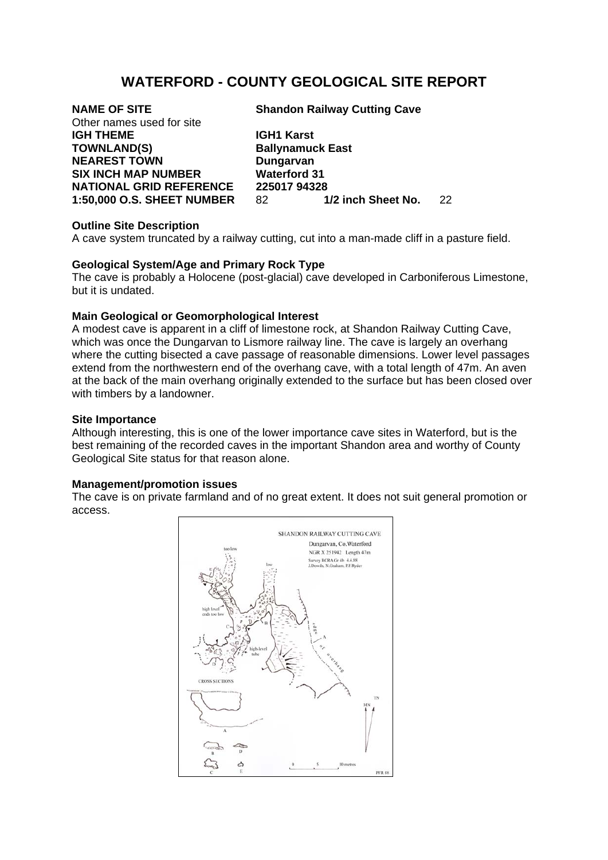# **WATERFORD - COUNTY GEOLOGICAL SITE REPORT**

| <b>NAME OF SITE</b>               | <b>Shandon Railway Cutting Cave</b> |                    |    |
|-----------------------------------|-------------------------------------|--------------------|----|
| Other names used for site         |                                     |                    |    |
| <b>IGH THEME</b>                  | <b>IGH1 Karst</b>                   |                    |    |
| <b>TOWNLAND(S)</b>                | <b>Ballynamuck East</b>             |                    |    |
| <b>NEAREST TOWN</b>               | Dungarvan                           |                    |    |
| <b>SIX INCH MAP NUMBER</b>        | <b>Waterford 31</b>                 |                    |    |
| <b>NATIONAL GRID REFERENCE</b>    | 225017 94328                        |                    |    |
| <b>1:50,000 O.S. SHEET NUMBER</b> | 82                                  | 1/2 inch Sheet No. | 22 |

## **Outline Site Description**

A cave system truncated by a railway cutting, cut into a man-made cliff in a pasture field.

## **Geological System/Age and Primary Rock Type**

The cave is probably a Holocene (post-glacial) cave developed in Carboniferous Limestone, but it is undated.

## **Main Geological or Geomorphological Interest**

A modest cave is apparent in a cliff of limestone rock, at Shandon Railway Cutting Cave, which was once the Dungarvan to Lismore railway line. The cave is largely an overhang where the cutting bisected a cave passage of reasonable dimensions. Lower level passages extend from the northwestern end of the overhang cave, with a total length of 47m. An aven at the back of the main overhang originally extended to the surface but has been closed over with timbers by a landowner.

## **Site Importance**

Although interesting, this is one of the lower importance cave sites in Waterford, but is the best remaining of the recorded caves in the important Shandon area and worthy of County Geological Site status for that reason alone.

## **Management/promotion issues**

The cave is on private farmland and of no great extent. It does not suit general promotion or access.

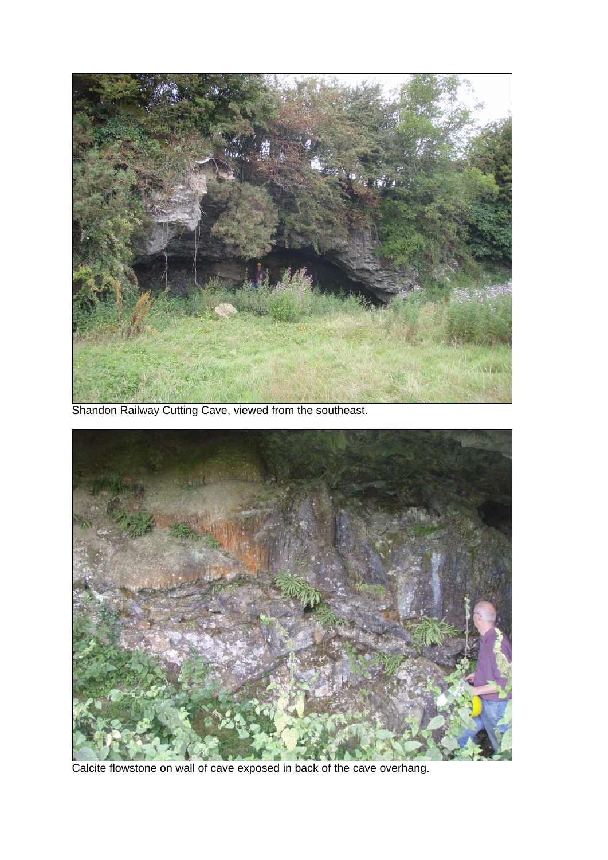

Shandon Railway Cutting Cave, viewed from the southeast.



Calcite flowstone on wall of cave exposed in back of the cave overhang.